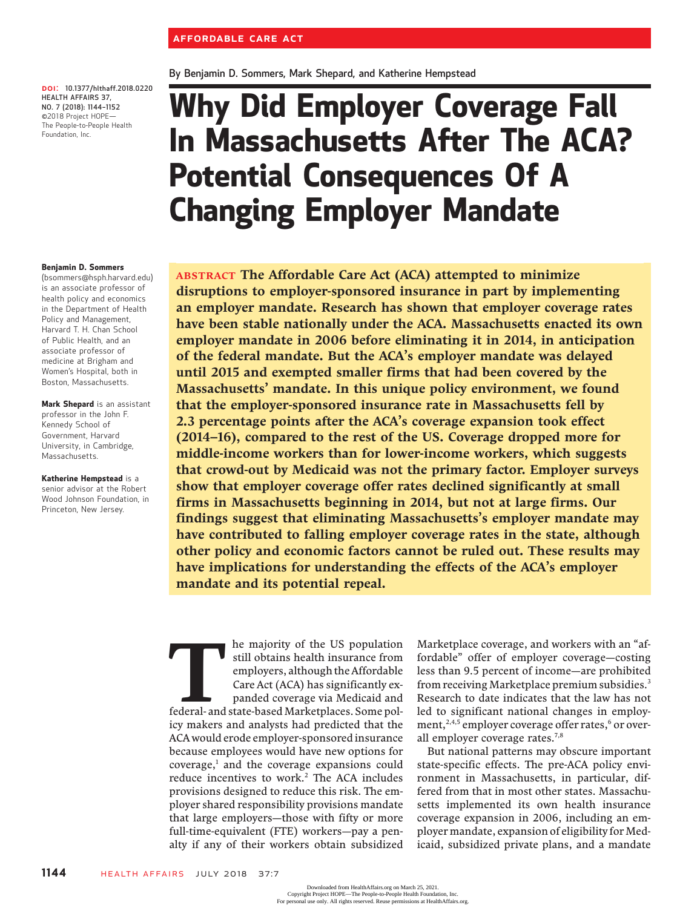#### Affordable Care Act

By Benjamin D. Sommers, Mark Shepard, and Katherine Hempstead

doi: 10.1377/hlthaff.2018.0220 HEALTH AFFAIRS 37, NO. 7 (2018): 1144–<sup>1152</sup> ©2018 Project HOPE— The People-to-People Health Foundation, Inc.

# Why Did Employer Coverage Fall In Massachusetts After The ACA? Potential Consequences Of A Changing Employer Mandate

ABSTRACT The Affordable Care Act (ACA) attempted to minimize disruptions to employer-sponsored insurance in part by implementing an employer mandate. Research has shown that employer coverage rates have been stable nationally under the ACA. Massachusetts enacted its own employer mandate in 2006 before eliminating it in 2014, in anticipation of the federal mandate. But the ACA's employer mandate was delayed until 2015 and exempted smaller firms that had been covered by the Massachusetts' mandate. In this unique policy environment, we found that the employer-sponsored insurance rate in Massachusetts fell by 2.3 percentage points after the ACA's coverage expansion took effect (2014–16), compared to the rest of the US. Coverage dropped more for middle-income workers than for lower-income workers, which suggests that crowd-out by Medicaid was not the primary factor. Employer surveys show that employer coverage offer rates declined significantly at small firms in Massachusetts beginning in 2014, but not at large firms. Our findings suggest that eliminating Massachusetts's employer mandate may have contributed to falling employer coverage rates in the state, although other policy and economic factors cannot be ruled out. These results may have implications for understanding the effects of the ACA's employer mandate and its potential repeal.

The majority of the US population<br>
still obtains health insurance from<br>
employers, although the Affordable<br>
Care Act (ACA) has significantly ex-<br>
panded coverage via Medicaid and<br>
federal- and state-based Marketplaces. Som still obtains health insurance from employers, although the Affordable Care Act (ACA) has significantly expanded coverage via Medicaid and icy makers and analysts had predicted that the ACA would erode employer-sponsored insurance because employees would have new options for coverage,<sup>1</sup> and the coverage expansions could reduce incentives to work.<sup>2</sup> The ACA includes provisions designed to reduce this risk. The employer shared responsibility provisions mandate that large employers—those with fifty or more full-time-equivalent (FTE) workers—pay a penalty if any of their workers obtain subsidized

Marketplace coverage, and workers with an "affordable" offer of employer coverage—costing less than 9.5 percent of income—are prohibited from receiving Marketplace premium subsidies.<sup>3</sup> Research to date indicates that the law has not led to significant national changes in employment,<sup>2,4,5</sup> employer coverage offer rates, $6$  or overall employer coverage rates.7,8

But national patterns may obscure important state-specific effects. The pre-ACA policy environment in Massachusetts, in particular, differed from that in most other states. Massachusetts implemented its own health insurance coverage expansion in 2006, including an employer mandate, expansion of eligibility for Medicaid, subsidized private plans, and a mandate

#### Benjamin D. Sommers

(bsommers@hsph.harvard.edu) is an associate professor of health policy and economics in the Department of Health Policy and Management, Harvard T. H. Chan School of Public Health, and an associate professor of medicine at Brigham and Women's Hospital, both in Boston, Massachusetts.

Mark Shepard is an assistant professor in the John F. Kennedy School of Government, Harvard University, in Cambridge, Massachusetts.

Katherine Hempstead is a senior advisor at the Robert Wood Johnson Foundation, in Princeton, New Jersey.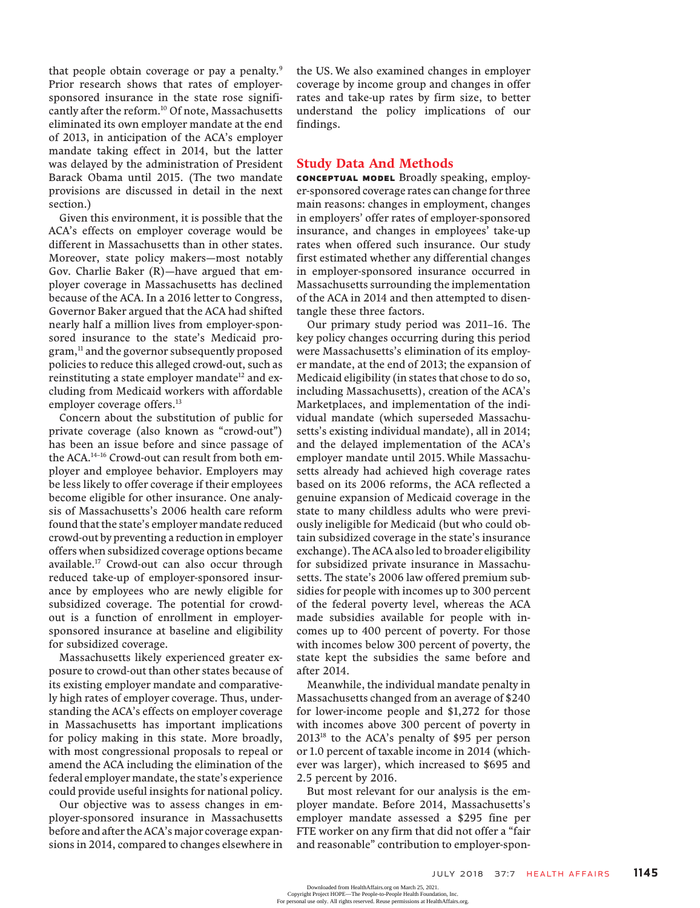that people obtain coverage or pay a penalty.<sup>9</sup> Prior research shows that rates of employersponsored insurance in the state rose significantly after the reform.10 Of note, Massachusetts eliminated its own employer mandate at the end of 2013, in anticipation of the ACA's employer mandate taking effect in 2014, but the latter was delayed by the administration of President Barack Obama until 2015. (The two mandate provisions are discussed in detail in the next section.)

Given this environment, it is possible that the ACA's effects on employer coverage would be different in Massachusetts than in other states. Moreover, state policy makers—most notably Gov. Charlie Baker (R)—have argued that employer coverage in Massachusetts has declined because of the ACA. In a 2016 letter to Congress, Governor Baker argued that the ACA had shifted nearly half a million lives from employer-sponsored insurance to the state's Medicaid program,<sup>11</sup> and the governor subsequently proposed policies to reduce this alleged crowd-out, such as reinstituting a state employer mandate<sup>12</sup> and excluding from Medicaid workers with affordable employer coverage offers.<sup>13</sup>

Concern about the substitution of public for private coverage (also known as "crowd-out") has been an issue before and since passage of the ACA.<sup>14-16</sup> Crowd-out can result from both employer and employee behavior. Employers may be less likely to offer coverage if their employees become eligible for other insurance. One analysis of Massachusetts's 2006 health care reform found that the state's employer mandate reduced crowd-out by preventing a reduction in employer offers when subsidized coverage options became available.17 Crowd-out can also occur through reduced take-up of employer-sponsored insurance by employees who are newly eligible for subsidized coverage. The potential for crowdout is a function of enrollment in employersponsored insurance at baseline and eligibility for subsidized coverage.

Massachusetts likely experienced greater exposure to crowd-out than other states because of its existing employer mandate and comparatively high rates of employer coverage. Thus, understanding the ACA's effects on employer coverage in Massachusetts has important implications for policy making in this state. More broadly, with most congressional proposals to repeal or amend the ACA including the elimination of the federal employer mandate, the state's experience could provide useful insights for national policy.

Our objective was to assess changes in employer-sponsored insurance in Massachusetts before and after the ACA's major coverage expansions in 2014, compared to changes elsewhere in

the US. We also examined changes in employer coverage by income group and changes in offer rates and take-up rates by firm size, to better understand the policy implications of our findings.

### Study Data And Methods

Conceptual Model Broadly speaking, employer-sponsored coverage rates can change for three main reasons: changes in employment, changes in employers' offer rates of employer-sponsored insurance, and changes in employees' take-up rates when offered such insurance. Our study first estimated whether any differential changes in employer-sponsored insurance occurred in Massachusetts surrounding the implementation of the ACA in 2014 and then attempted to disentangle these three factors.

Our primary study period was 2011–16. The key policy changes occurring during this period were Massachusetts's elimination of its employer mandate, at the end of 2013; the expansion of Medicaid eligibility (in states that chose to do so, including Massachusetts), creation of the ACA's Marketplaces, and implementation of the individual mandate (which superseded Massachusetts's existing individual mandate), all in 2014; and the delayed implementation of the ACA's employer mandate until 2015. While Massachusetts already had achieved high coverage rates based on its 2006 reforms, the ACA reflected a genuine expansion of Medicaid coverage in the state to many childless adults who were previously ineligible for Medicaid (but who could obtain subsidized coverage in the state's insurance exchange). The ACA also led to broader eligibility for subsidized private insurance in Massachusetts. The state's 2006 law offered premium subsidies for people with incomes up to 300 percent of the federal poverty level, whereas the ACA made subsidies available for people with incomes up to 400 percent of poverty. For those with incomes below 300 percent of poverty, the state kept the subsidies the same before and after 2014.

Meanwhile, the individual mandate penalty in Massachusetts changed from an average of \$240 for lower-income people and \$1,272 for those with incomes above 300 percent of poverty in 201318 to the ACA's penalty of \$95 per person or 1.0 percent of taxable income in 2014 (whichever was larger), which increased to \$695 and 2.5 percent by 2016.

But most relevant for our analysis is the employer mandate. Before 2014, Massachusetts's employer mandate assessed a \$295 fine per FTE worker on any firm that did not offer a "fair and reasonable" contribution to employer-spon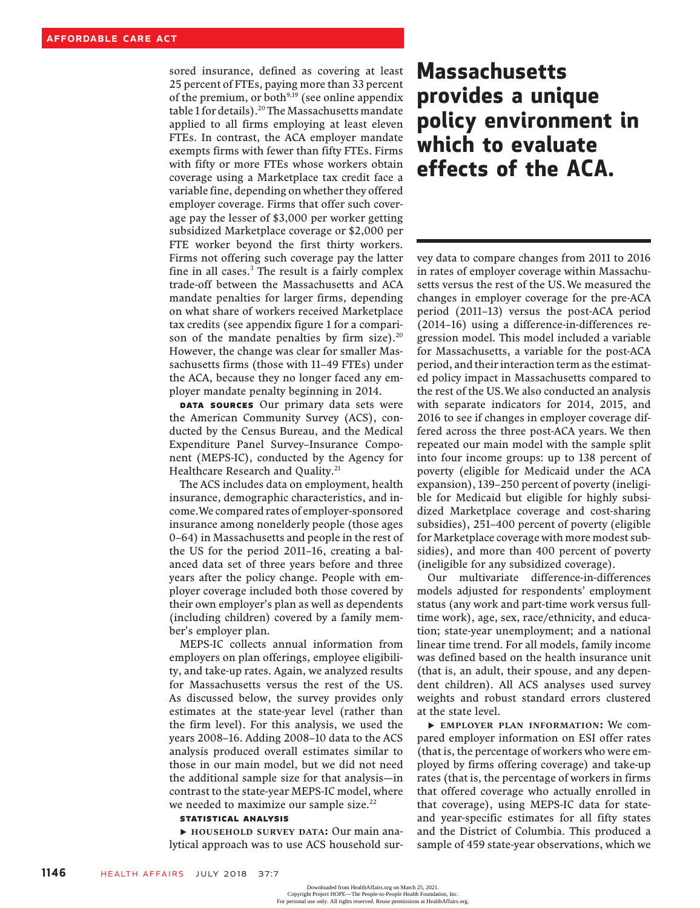sored insurance, defined as covering at least 25 percent of FTEs, paying more than 33 percent of the premium, or both<sup>9,19</sup> (see online appendix table 1 for details).20 The Massachusetts mandate applied to all firms employing at least eleven FTEs. In contrast, the ACA employer mandate exempts firms with fewer than fifty FTEs. Firms with fifty or more FTEs whose workers obtain coverage using a Marketplace tax credit face a variable fine, depending on whether they offered employer coverage. Firms that offer such coverage pay the lesser of \$3,000 per worker getting subsidized Marketplace coverage or \$2,000 per FTE worker beyond the first thirty workers. Firms not offering such coverage pay the latter fine in all cases. $3$  The result is a fairly complex trade-off between the Massachusetts and ACA mandate penalties for larger firms, depending on what share of workers received Marketplace tax credits (see appendix figure 1 for a comparison of the mandate penalties by firm size).<sup>20</sup> However, the change was clear for smaller Massachusetts firms (those with 11–49 FTEs) under the ACA, because they no longer faced any employer mandate penalty beginning in 2014.

**DATA SOURCES** Our primary data sets were the American Community Survey (ACS), conducted by the Census Bureau, and the Medical Expenditure Panel Survey–Insurance Component (MEPS-IC), conducted by the Agency for Healthcare Research and Quality.<sup>21</sup>

The ACS includes data on employment, health insurance, demographic characteristics, and income.We compared rates of employer-sponsored insurance among nonelderly people (those ages 0–64) in Massachusetts and people in the rest of the US for the period 2011–16, creating a balanced data set of three years before and three years after the policy change. People with employer coverage included both those covered by their own employer's plan as well as dependents (including children) covered by a family member's employer plan.

MEPS-IC collects annual information from employers on plan offerings, employee eligibility, and take-up rates. Again, we analyzed results for Massachusetts versus the rest of the US. As discussed below, the survey provides only estimates at the state-year level (rather than the firm level). For this analysis, we used the years 2008–16. Adding 2008–10 data to the ACS analysis produced overall estimates similar to those in our main model, but we did not need the additional sample size for that analysis—in contrast to the state-year MEPS-IC model, where we needed to maximize our sample size.<sup>22</sup>

#### STATISTICAL ANALYSIS

▸ HOUSEHOLD SURVEY DATA: Our main analytical approach was to use ACS household sur-

# Massachusetts provides a unique policy environment in which to evaluate effects of the ACA.

vey data to compare changes from 2011 to 2016 in rates of employer coverage within Massachusetts versus the rest of the US.We measured the changes in employer coverage for the pre-ACA period (2011–13) versus the post-ACA period (2014–16) using a difference-in-differences regression model. This model included a variable for Massachusetts, a variable for the post-ACA period, and their interaction term as the estimated policy impact in Massachusetts compared to the rest of the US.We also conducted an analysis with separate indicators for 2014, 2015, and 2016 to see if changes in employer coverage differed across the three post-ACA years. We then repeated our main model with the sample split into four income groups: up to 138 percent of poverty (eligible for Medicaid under the ACA expansion), 139–250 percent of poverty (ineligible for Medicaid but eligible for highly subsidized Marketplace coverage and cost-sharing subsidies), 251–400 percent of poverty (eligible for Marketplace coverage with more modest subsidies), and more than 400 percent of poverty (ineligible for any subsidized coverage).

Our multivariate difference-in-differences models adjusted for respondents' employment status (any work and part-time work versus fulltime work), age, sex, race/ethnicity, and education; state-year unemployment; and a national linear time trend. For all models, family income was defined based on the health insurance unit (that is, an adult, their spouse, and any dependent children). All ACS analyses used survey weights and robust standard errors clustered at the state level.

▸ EMPLOYER PLAN INFORMATION: We compared employer information on ESI offer rates (that is, the percentage of workers who were employed by firms offering coverage) and take-up rates (that is, the percentage of workers in firms that offered coverage who actually enrolled in that coverage), using MEPS-IC data for stateand year-specific estimates for all fifty states and the District of Columbia. This produced a sample of 459 state-year observations, which we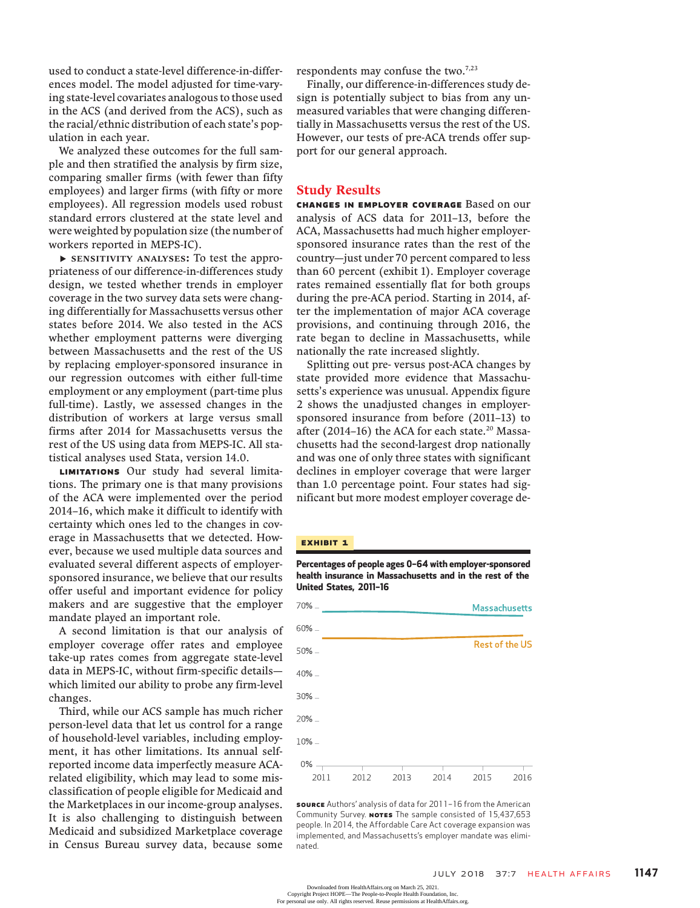used to conduct a state-level difference-in-differences model. The model adjusted for time-varying state-level covariates analogous to those used in the ACS (and derived from the ACS), such as the racial/ethnic distribution of each state's population in each year.

We analyzed these outcomes for the full sample and then stratified the analysis by firm size, comparing smaller firms (with fewer than fifty employees) and larger firms (with fifty or more employees). All regression models used robust standard errors clustered at the state level and were weighted by population size (the number of workers reported in MEPS-IC).

▸ SENSITIVITY ANALYSES: To test the appropriateness of our difference-in-differences study design, we tested whether trends in employer coverage in the two survey data sets were changing differentially for Massachusetts versus other states before 2014. We also tested in the ACS whether employment patterns were diverging between Massachusetts and the rest of the US by replacing employer-sponsored insurance in our regression outcomes with either full-time employment or any employment (part-time plus full-time). Lastly, we assessed changes in the distribution of workers at large versus small firms after 2014 for Massachusetts versus the rest of the US using data from MEPS-IC. All statistical analyses used Stata, version 14.0.

LIMITATIONS Our study had several limitations. The primary one is that many provisions of the ACA were implemented over the period 2014–16, which make it difficult to identify with certainty which ones led to the changes in coverage in Massachusetts that we detected. However, because we used multiple data sources and evaluated several different aspects of employersponsored insurance, we believe that our results offer useful and important evidence for policy makers and are suggestive that the employer mandate played an important role.

A second limitation is that our analysis of employer coverage offer rates and employee take-up rates comes from aggregate state-level data in MEPS-IC, without firm-specific details which limited our ability to probe any firm-level changes.

Third, while our ACS sample has much richer person-level data that let us control for a range of household-level variables, including employment, it has other limitations. Its annual selfreported income data imperfectly measure ACArelated eligibility, which may lead to some misclassification of people eligible for Medicaid and the Marketplaces in our income-group analyses. It is also challenging to distinguish between Medicaid and subsidized Marketplace coverage in Census Bureau survey data, because some

respondents may confuse the two. $7,23$ 

Finally, our difference-in-differences study design is potentially subject to bias from any unmeasured variables that were changing differentially in Massachusetts versus the rest of the US. However, our tests of pre-ACA trends offer support for our general approach.

## Study Results

Changes In Employer Coverage Based on our analysis of ACS data for 2011–13, before the ACA, Massachusetts had much higher employersponsored insurance rates than the rest of the country—just under 70 percent compared to less than 60 percent (exhibit 1). Employer coverage rates remained essentially flat for both groups during the pre-ACA period. Starting in 2014, after the implementation of major ACA coverage provisions, and continuing through 2016, the rate began to decline in Massachusetts, while nationally the rate increased slightly.

Splitting out pre- versus post-ACA changes by state provided more evidence that Massachusetts's experience was unusual. Appendix figure 2 shows the unadjusted changes in employersponsored insurance from before (2011–13) to after (2014–16) the ACA for each state. $20$  Massachusetts had the second-largest drop nationally and was one of only three states with significant declines in employer coverage that were larger than 1.0 percentage point. Four states had significant but more modest employer coverage de-

#### Exhibit 1

Percentages of people ages 0–64 with employer-sponsored health insurance in Massachusetts and in the rest of the United States, 2011–<sup>16</sup>



SOURCE Authors' analysis of data for 2011–16 from the American Community Survey. Notes The sample consisted of 15,437,653 people. In 2014, the Affordable Care Act coverage expansion was implemented, and Massachusetts's employer mandate was eliminated.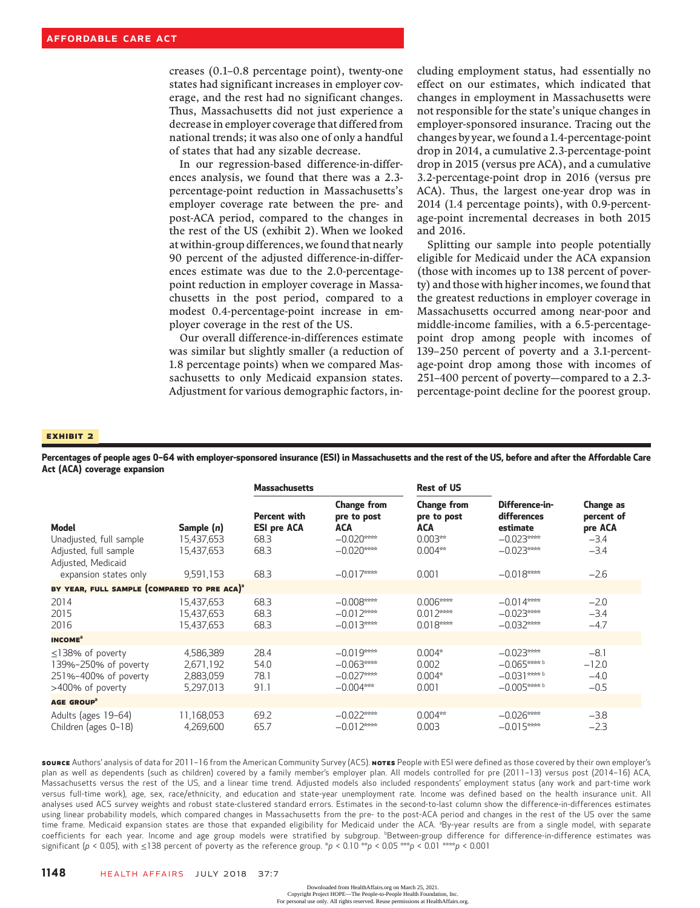creases (0.1–0.8 percentage point), twenty-one states had significant increases in employer coverage, and the rest had no significant changes. Thus, Massachusetts did not just experience a decrease in employer coverage that differed from national trends; it was also one of only a handful of states that had any sizable decrease.

In our regression-based difference-in-differences analysis, we found that there was a 2.3 percentage-point reduction in Massachusetts's employer coverage rate between the pre- and post-ACA period, compared to the changes in the rest of the US (exhibit 2). When we looked at within-group differences, we found that nearly 90 percent of the adjusted difference-in-differences estimate was due to the 2.0-percentagepoint reduction in employer coverage in Massachusetts in the post period, compared to a modest 0.4-percentage-point increase in employer coverage in the rest of the US.

Our overall difference-in-differences estimate was similar but slightly smaller (a reduction of 1.8 percentage points) when we compared Massachusetts to only Medicaid expansion states. Adjustment for various demographic factors, including employment status, had essentially no effect on our estimates, which indicated that changes in employment in Massachusetts were not responsible for the state's unique changes in employer-sponsored insurance. Tracing out the changes by year, we found a 1.4-percentage-point drop in 2014, a cumulative 2.3-percentage-point drop in 2015 (versus pre ACA), and a cumulative 3.2-percentage-point drop in 2016 (versus pre ACA). Thus, the largest one-year drop was in 2014 (1.4 percentage points), with 0.9-percentage-point incremental decreases in both 2015 and 2016.

Splitting our sample into people potentially eligible for Medicaid under the ACA expansion (those with incomes up to 138 percent of poverty) and those with higher incomes, we found that the greatest reductions in employer coverage in Massachusetts occurred among near-poor and middle-income families, with a 6.5-percentagepoint drop among people with incomes of 139–250 percent of poverty and a 3.1-percentage-point drop among those with incomes of 251–400 percent of poverty—compared to a 2.3 percentage-point decline for the poorest group.

#### Exhibit 2

Percentages of people ages 0–64 with employer-sponsored insurance (ESI) in Massachusetts and the rest of the US, before and after the Affordable Care Act (ACA) coverage expansion

|                                                                                            |                                                  | <b>Massachusetts</b>                               |                                                                        | <b>Rest of US</b>                                                  |                                                                         |                                                        |  |
|--------------------------------------------------------------------------------------------|--------------------------------------------------|----------------------------------------------------|------------------------------------------------------------------------|--------------------------------------------------------------------|-------------------------------------------------------------------------|--------------------------------------------------------|--|
| <b>Model</b><br>Unadjusted, full sample<br>Adjusted, full sample                           | Sample (n)<br>15,437,653<br>15,437,653           | Percent with<br><b>ESI pre ACA</b><br>68.3<br>68.3 | <b>Change from</b><br>pre to post<br>ACA<br>$-0.020***$<br>$-0.020***$ | <b>Change from</b><br>pre to post<br>ACA<br>$0.003**$<br>$0.004**$ | Difference-in-<br>differences<br>estimate<br>$-0.023***$<br>$-0.023***$ | Change as<br>percent of<br>pre ACA<br>$-3.4$<br>$-3.4$ |  |
| Adjusted, Medicaid<br>expansion states only                                                | 9,591,153                                        | 68.3                                               | $-0.017***$                                                            | 0.001                                                              | $-0.018***$                                                             | $-2.6$                                                 |  |
| BY YEAR, FULL SAMPLE (COMPARED TO PRE ACA) <sup>a</sup>                                    |                                                  |                                                    |                                                                        |                                                                    |                                                                         |                                                        |  |
| 2014<br>2015<br>2016                                                                       | 15,437,653<br>15,437,653<br>15,437,653           | 68.3<br>68.3<br>68.3                               | $-0.008***$<br>$-0.012***$<br>$-0.013***$                              | $0.006***$<br>$0.012***$<br>$0.018***$                             | $-0.014***$<br>$-0.023***$<br>$-0.032***$                               | $-2.0$<br>$-3.4$<br>$-4.7$                             |  |
| <b>INCOME</b> <sup>a</sup>                                                                 |                                                  |                                                    |                                                                        |                                                                    |                                                                         |                                                        |  |
| $\leq$ 138% of poverty<br>139%-250% of poverty<br>251%-400% of poverty<br>>400% of poverty | 4,586,389<br>2,671,192<br>2,883,059<br>5,297,013 | 28.4<br>54.0<br>78.1<br>91.1                       | $-0.019***$<br>$-0.063***$<br>$-0.027***$<br>$-0.004***$               | $0.004*$<br>0.002<br>$0.004*$<br>0.001                             | $-0.023***$<br>$-0.065***$<br>$-0.031***$<br>$-0.005***$                | $-8.1$<br>$-12.0$<br>$-4.0$<br>$-0.5$                  |  |
| AGE GROUP <sup>a</sup>                                                                     |                                                  |                                                    |                                                                        |                                                                    |                                                                         |                                                        |  |
| Adults (ages 19-64)<br>Children (ages 0-18)                                                | 11,168,053<br>4,269,600                          | 69.2<br>65.7                                       | $-0.022***$<br>$-0.012***$                                             | $0.004**$<br>0.003                                                 | $-0.026***$<br>$-0.015***$                                              | $-3.8$<br>$-2.3$                                       |  |

source Authors' analysis of data for 2011-16 from the American Community Survey (ACS). Notes People with ESI were defined as those covered by their own employer's plan as well as dependents (such as children) covered by a family member's employer plan. All models controlled for pre (2011–13) versus post (2014–16) ACA, Massachusetts versus the rest of the US, and a linear time trend. Adjusted models also included respondents' employment status (any work and part-time work versus full-time work), age, sex, race/ethnicity, and education and state-year unemployment rate. Income was defined based on the health insurance unit. All analyses used ACS survey weights and robust state-clustered standard errors. Estimates in the second-to-last column show the difference-in-differences estimates using linear probability models, which compared changes in Massachusetts from the pre- to the post-ACA period and changes in the rest of the US over the same time frame. Medicaid expansion states are those that expanded eligibility for Medicaid under the ACA. <sup>a</sup>By-year results are from a single model, with separate coefficients for each year. Income and age group models were stratified by subgroup. <sup>b</sup>Between-group difference for difference-in-difference estimates was significant (p < 0.05), with  $\leq$ 138 percent of poverty as the reference group. \*p < 0.00 \*\*p < 0.05 \*\*\*p < 0.01 \*\*\*p < 0.001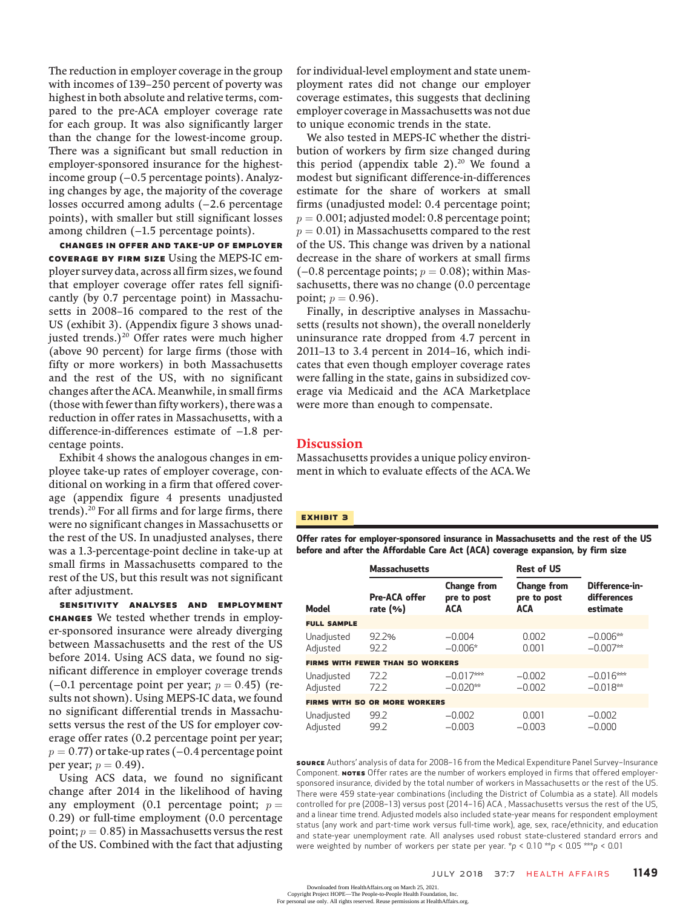The reduction in employer coverage in the group with incomes of 139–250 percent of poverty was highest in both absolute and relative terms, compared to the pre-ACA employer coverage rate for each group. It was also significantly larger than the change for the lowest-income group. There was a significant but small reduction in employer-sponsored insurance for the highestincome group (−0.5 percentage points). Analyzing changes by age, the majority of the coverage losses occurred among adults (−2.6 percentage points), with smaller but still significant losses among children (−1.5 percentage points).

Changes In Offer And Take-Up Of Employer Coverage By Firm Size Using the MEPS-IC employer survey data, across all firm sizes, we found that employer coverage offer rates fell significantly (by 0.7 percentage point) in Massachusetts in 2008–16 compared to the rest of the US (exhibit 3). (Appendix figure 3 shows unadjusted trends.)<sup>20</sup> Offer rates were much higher (above 90 percent) for large firms (those with fifty or more workers) in both Massachusetts and the rest of the US, with no significant changes after the ACA.Meanwhile, in small firms (those with fewer than fifty workers), there was a reduction in offer rates in Massachusetts, with a difference-in-differences estimate of −1.8 percentage points.

Exhibit 4 shows the analogous changes in employee take-up rates of employer coverage, conditional on working in a firm that offered coverage (appendix figure 4 presents unadjusted trends).<sup>20</sup> For all firms and for large firms, there were no significant changes in Massachusetts or the rest of the US. In unadjusted analyses, there was a 1.3-percentage-point decline in take-up at small firms in Massachusetts compared to the rest of the US, but this result was not significant after adjustment.

Sensitivity Analyses And Employment Changes We tested whether trends in employer-sponsored insurance were already diverging between Massachusetts and the rest of the US before 2014. Using ACS data, we found no significant difference in employer coverage trends  $(-0.1$  percentage point per year;  $p = 0.45$ ) (results not shown). Using MEPS-IC data, we found no significant differential trends in Massachusetts versus the rest of the US for employer coverage offer rates (0.2 percentage point per year;  $p = 0.77$ ) or take-up rates (-0.4 percentage point per year;  $p = 0.49$ ).

Using ACS data, we found no significant change after 2014 in the likelihood of having any employment (0.1 percentage point;  $p =$ 0:29) or full-time employment (0.0 percentage point;  $p = 0.85$ ) in Massachusetts versus the rest of the US. Combined with the fact that adjusting

for individual-level employment and state unemployment rates did not change our employer coverage estimates, this suggests that declining employer coverage inMassachusetts was not due to unique economic trends in the state.

We also tested in MEPS-IC whether the distribution of workers by firm size changed during this period (appendix table 2).<sup>20</sup> We found a modest but significant difference-in-differences estimate for the share of workers at small firms (unadjusted model: 0.4 percentage point;  $p = 0.001$ ; adjusted model: 0.8 percentage point;  $p = 0.01$ ) in Massachusetts compared to the rest of the US. This change was driven by a national decrease in the share of workers at small firms  $(-0.8$  percentage points;  $p = 0.08$ ); within Massachusetts, there was no change (0.0 percentage point;  $p = 0.96$ ).

Finally, in descriptive analyses in Massachusetts (results not shown), the overall nonelderly uninsurance rate dropped from 4.7 percent in 2011–13 to 3.4 percent in 2014–16, which indicates that even though employer coverage rates were falling in the state, gains in subsidized coverage via Medicaid and the ACA Marketplace were more than enough to compensate.

# Discussion

Massachusetts provides a unique policy environment in which to evaluate effects of the ACA.We

#### Exhibit 3

Offer rates for employer-sponsored insurance in Massachusetts and the rest of the US before and after the Affordable Care Act (ACA) coverage expansion, by firm size

|                                         | <b>Massachusetts</b>                |                                          |                                                 |                                           |  |  |  |
|-----------------------------------------|-------------------------------------|------------------------------------------|-------------------------------------------------|-------------------------------------------|--|--|--|
| <b>Model</b>                            | <b>Pre-ACA offer</b><br>rate $(% )$ | <b>Change from</b><br>pre to post<br>ACA | <b>Change from</b><br>pre to post<br><b>ACA</b> | Difference-in-<br>differences<br>estimate |  |  |  |
| <b>FULL SAMPLE</b>                      |                                     |                                          |                                                 |                                           |  |  |  |
| Unadjusted<br>Adjusted                  | 92.2%<br>92.2                       | $-0.004$<br>$-0.006*$                    | 0.002<br>0.001                                  | $-0.006***$<br>$-0.007**$                 |  |  |  |
| <b>FIRMS WITH FEWER THAN 50 WORKERS</b> |                                     |                                          |                                                 |                                           |  |  |  |
| Unadjusted<br>Adjusted                  | 72.2<br>72.2                        | $-0.017***$<br>$-0.020**$                | $-0.002$<br>$-0.002$                            | $-0.016***$<br>$-0.018**$                 |  |  |  |
| <b>FIRMS WITH 50 OR MORE WORKERS</b>    |                                     |                                          |                                                 |                                           |  |  |  |
| Unadjusted<br>Adjusted                  | 99.2<br>99.2                        | $-0.002$<br>$-0.003$                     | 0.001<br>$-0.003$                               | $-0.002$<br>$-0.000$                      |  |  |  |

source Authors' analysis of data for 2008-16 from the Medical Expenditure Panel Survey-Insurance Component. Norse Offer rates are the number of workers employed in firms that offered employersponsored insurance, divided by the total number of workers in Massachusetts or the rest of the US. There were 459 state-year combinations (including the District of Columbia as a state). All models controlled for pre (2008–13) versus post (2014–16) ACA , Massachusetts versus the rest of the US, and a linear time trend. Adjusted models also included state-year means for respondent employment status (any work and part-time work versus full-time work), age, sex, race/ethnicity, and education and state-year unemployment rate. All analyses used robust state-clustered standard errors and were weighted by number of workers per state per year. \*p <  $0.10$  \*\*p <  $0.05$  \*\*\*p <  $0.01$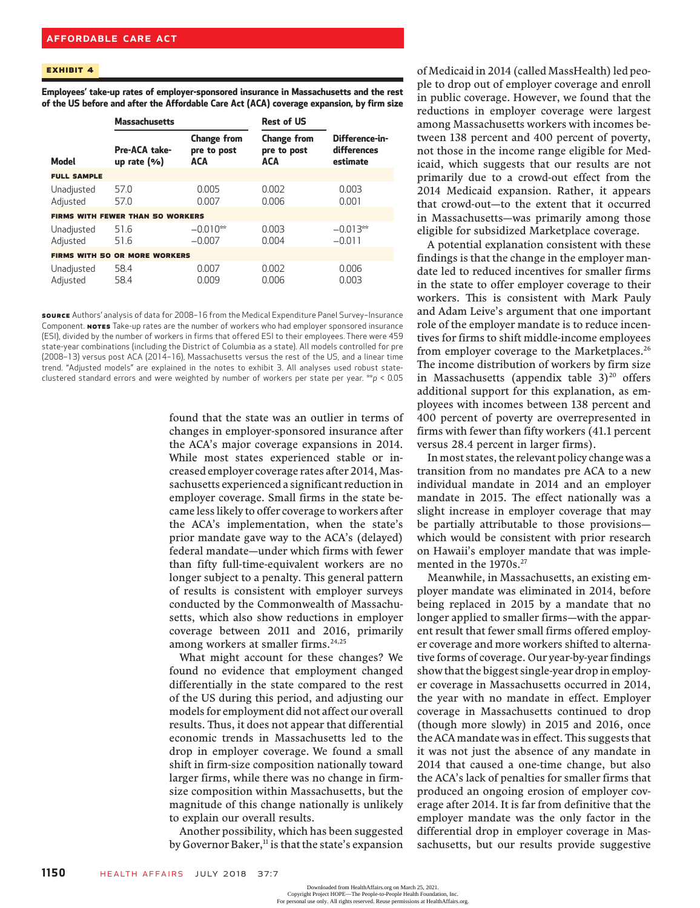#### Exhibit 4

Employees' take-up rates of employer-sponsored insurance in Massachusetts and the rest of the US before and after the Affordable Care Act (ACA) coverage expansion, by firm size

|                                         | <b>Massachusetts</b>             |                                          | <b>Rest of US</b>                        |                                           |  |  |  |
|-----------------------------------------|----------------------------------|------------------------------------------|------------------------------------------|-------------------------------------------|--|--|--|
| <b>Model</b>                            | Pre-ACA take-<br>up rate $(\% )$ | <b>Change from</b><br>pre to post<br>ACA | <b>Change from</b><br>pre to post<br>ACA | Difference-in-<br>differences<br>estimate |  |  |  |
| <b>FULL SAMPLE</b>                      |                                  |                                          |                                          |                                           |  |  |  |
| Unadjusted<br>Adjusted                  | 57.0<br>57.0                     | 0.005<br>0.007                           | 0.002<br>0.006                           | 0.003<br>0.001                            |  |  |  |
| <b>FIRMS WITH FEWER THAN 50 WORKERS</b> |                                  |                                          |                                          |                                           |  |  |  |
| Unadjusted<br>Adjusted                  | 51.6<br>51.6                     | $-0.010**$<br>$-0.007$                   | 0.003<br>0.004                           | $-0.013**$<br>$-0.011$                    |  |  |  |
| <b>FIRMS WITH 50 OR MORE WORKERS</b>    |                                  |                                          |                                          |                                           |  |  |  |
| Unadjusted<br>Adjusted                  | 58.4<br>58.4                     | 0.007<br>0.009                           | 0.002<br>0.006                           | 0.006<br>0.003                            |  |  |  |

source Authors' analysis of data for 2008-16 from the Medical Expenditure Panel Survey-Insurance Component. Nores Take-up rates are the number of workers who had employer sponsored insurance (ESI), divided by the number of workers in firms that offered ESI to their employees. There were 459 state-year combinations (including the District of Columbia as a state). All models controlled for pre (2008–13) versus post ACA (2014–16), Massachusetts versus the rest of the US, and a linear time trend. "Adjusted models" are explained in the notes to exhibit 3. All analyses used robust stateclustered standard errors and were weighted by number of workers per state per year. \*\*p < 0:05

> found that the state was an outlier in terms of changes in employer-sponsored insurance after the ACA's major coverage expansions in 2014. While most states experienced stable or increased employer coverage rates after 2014, Massachusetts experienced a significant reduction in employer coverage. Small firms in the state became less likely to offer coverage to workers after the ACA's implementation, when the state's prior mandate gave way to the ACA's (delayed) federal mandate—under which firms with fewer than fifty full-time-equivalent workers are no longer subject to a penalty. This general pattern of results is consistent with employer surveys conducted by the Commonwealth of Massachusetts, which also show reductions in employer coverage between 2011 and 2016, primarily among workers at smaller firms. $24,25$

> What might account for these changes? We found no evidence that employment changed differentially in the state compared to the rest of the US during this period, and adjusting our models for employment did not affect our overall results. Thus, it does not appear that differential economic trends in Massachusetts led to the drop in employer coverage. We found a small shift in firm-size composition nationally toward larger firms, while there was no change in firmsize composition within Massachusetts, but the magnitude of this change nationally is unlikely to explain our overall results.

Another possibility, which has been suggested by Governor Baker, $<sup>11</sup>$  is that the state's expansion</sup>

of Medicaid in 2014 (called MassHealth) led people to drop out of employer coverage and enroll in public coverage. However, we found that the reductions in employer coverage were largest among Massachusetts workers with incomes between 138 percent and 400 percent of poverty, not those in the income range eligible for Medicaid, which suggests that our results are not primarily due to a crowd-out effect from the 2014 Medicaid expansion. Rather, it appears that crowd-out—to the extent that it occurred in Massachusetts—was primarily among those eligible for subsidized Marketplace coverage.

A potential explanation consistent with these findings is that the change in the employer mandate led to reduced incentives for smaller firms in the state to offer employer coverage to their workers. This is consistent with Mark Pauly and Adam Leive's argument that one important role of the employer mandate is to reduce incentives for firms to shift middle-income employees from employer coverage to the Marketplaces. $^{26}$ The income distribution of workers by firm size in Massachusetts (appendix table  $3)^{20}$  offers additional support for this explanation, as employees with incomes between 138 percent and 400 percent of poverty are overrepresented in firms with fewer than fifty workers (41.1 percent versus 28.4 percent in larger firms).

In most states, the relevant policy change was a transition from no mandates pre ACA to a new individual mandate in 2014 and an employer mandate in 2015. The effect nationally was a slight increase in employer coverage that may be partially attributable to those provisions which would be consistent with prior research on Hawaii's employer mandate that was implemented in the 1970s.<sup>27</sup>

Meanwhile, in Massachusetts, an existing employer mandate was eliminated in 2014, before being replaced in 2015 by a mandate that no longer applied to smaller firms—with the apparent result that fewer small firms offered employer coverage and more workers shifted to alternative forms of coverage. Our year-by-year findings show that the biggest single-year drop in employer coverage in Massachusetts occurred in 2014, the year with no mandate in effect. Employer coverage in Massachusetts continued to drop (though more slowly) in 2015 and 2016, once the ACA mandate was in effect. This suggests that it was not just the absence of any mandate in 2014 that caused a one-time change, but also the ACA's lack of penalties for smaller firms that produced an ongoing erosion of employer coverage after 2014. It is far from definitive that the employer mandate was the only factor in the differential drop in employer coverage in Massachusetts, but our results provide suggestive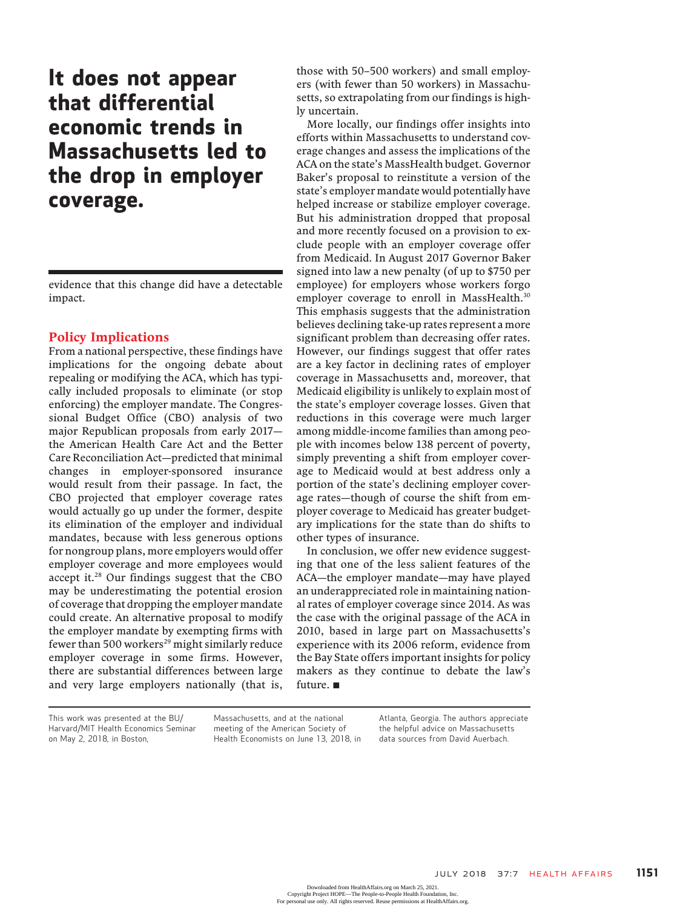# It does not appear that differential economic trends in Massachusetts led to the drop in employer coverage.

evidence that this change did have a detectable impact.

## Policy Implications

From a national perspective, these findings have implications for the ongoing debate about repealing or modifying the ACA, which has typically included proposals to eliminate (or stop enforcing) the employer mandate. The Congressional Budget Office (CBO) analysis of two major Republican proposals from early 2017 the American Health Care Act and the Better Care Reconciliation Act—predicted that minimal changes in employer-sponsored insurance would result from their passage. In fact, the CBO projected that employer coverage rates would actually go up under the former, despite its elimination of the employer and individual mandates, because with less generous options for nongroup plans, more employers would offer employer coverage and more employees would accept it.28 Our findings suggest that the CBO may be underestimating the potential erosion of coverage that dropping the employer mandate could create. An alternative proposal to modify the employer mandate by exempting firms with fewer than 500 workers<sup>29</sup> might similarly reduce employer coverage in some firms. However, there are substantial differences between large and very large employers nationally (that is,

those with 50–500 workers) and small employers (with fewer than 50 workers) in Massachusetts, so extrapolating from our findings is highly uncertain.

More locally, our findings offer insights into efforts within Massachusetts to understand coverage changes and assess the implications of the ACA on the state's MassHealth budget. Governor Baker's proposal to reinstitute a version of the state's employer mandate would potentially have helped increase or stabilize employer coverage. But his administration dropped that proposal and more recently focused on a provision to exclude people with an employer coverage offer from Medicaid. In August 2017 Governor Baker signed into law a new penalty (of up to \$750 per employee) for employers whose workers forgo employer coverage to enroll in MassHealth.<sup>30</sup> This emphasis suggests that the administration believes declining take-up rates represent a more significant problem than decreasing offer rates. However, our findings suggest that offer rates are a key factor in declining rates of employer coverage in Massachusetts and, moreover, that Medicaid eligibility is unlikely to explain most of the state's employer coverage losses. Given that reductions in this coverage were much larger among middle-income families than among people with incomes below 138 percent of poverty, simply preventing a shift from employer coverage to Medicaid would at best address only a portion of the state's declining employer coverage rates—though of course the shift from employer coverage to Medicaid has greater budgetary implications for the state than do shifts to other types of insurance.

In conclusion, we offer new evidence suggesting that one of the less salient features of the ACA—the employer mandate—may have played an underappreciated role in maintaining national rates of employer coverage since 2014. As was the case with the original passage of the ACA in 2010, based in large part on Massachusetts's experience with its 2006 reform, evidence from the Bay State offers important insights for policy makers as they continue to debate the law's future.  $\blacksquare$ 

This work was presented at the BU/ Harvard/MIT Health Economics Seminar on May 2, 2018, in Boston,

Massachusetts, and at the national meeting of the American Society of Health Economists on June 13, 2018, in Atlanta, Georgia. The authors appreciate the helpful advice on Massachusetts data sources from David Auerbach.